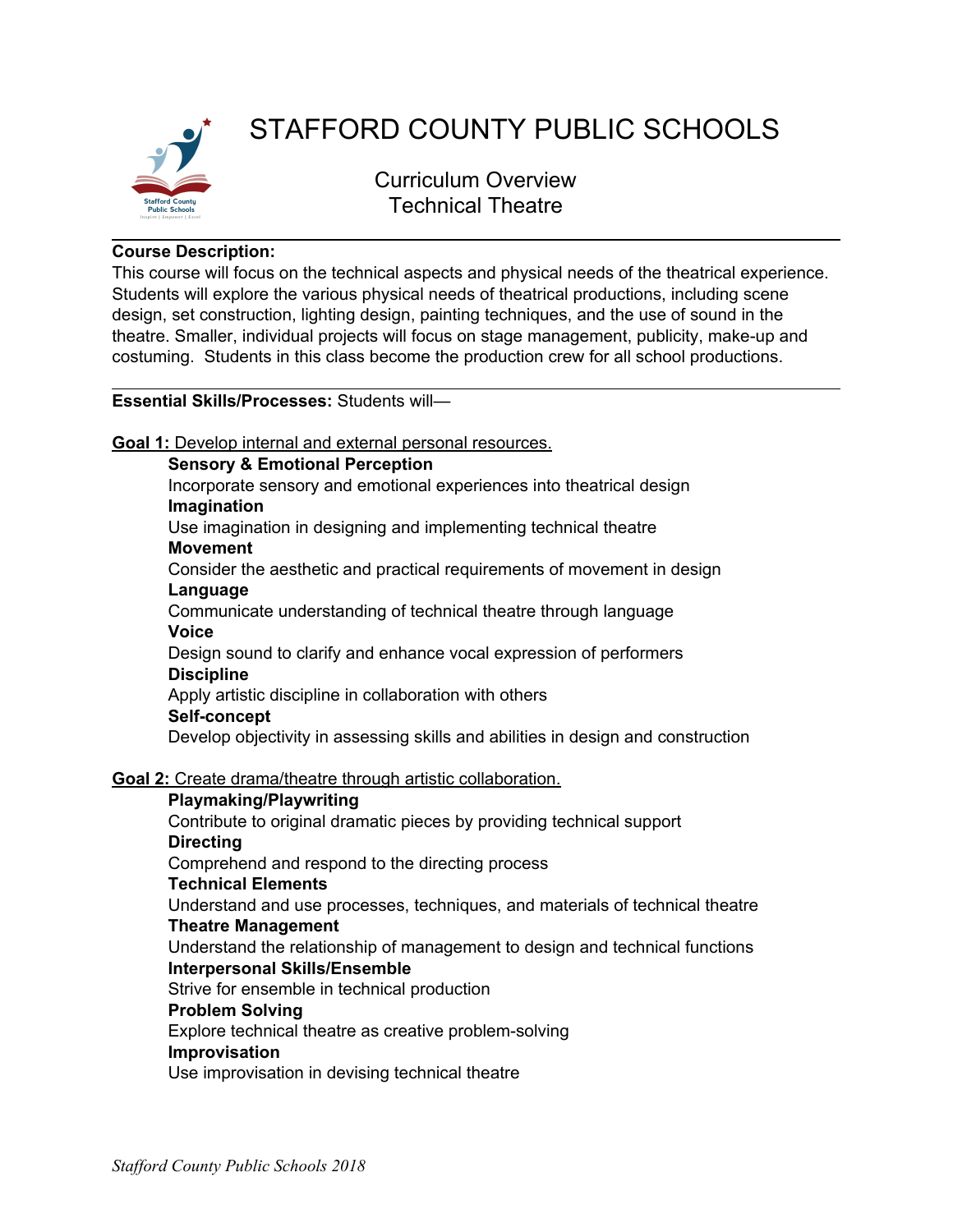

# STAFFORD COUNTY PUBLIC SCHOOLS

Curriculum Overview Technical Theatre

# **Course Description:**

This course will focus on the technical aspects and physical needs of the theatrical experience. Students will explore the various physical needs of theatrical productions, including scene design, set construction, lighting design, painting techniques, and the use of sound in the theatre. Smaller, individual projects will focus on stage management, publicity, make-up and costuming. Students in this class become the production crew for all school productions.

## **Essential Skills/Processes:** Students will—

**Goal 1:** Develop internal and external personal resources.

**Sensory & Emotional Perception**

Incorporate sensory and emotional experiences into theatrical design **Imagination**

Use imagination in designing and implementing technical theatre

**Movement**

Consider the aesthetic and practical requirements of movement in design **Language**

Communicate understanding of technical theatre through language **Voice**

Design sound to clarify and enhance vocal expression of performers **Discipline**

Apply artistic discipline in collaboration with others

# **Self-concept**

Develop objectivity in assessing skills and abilities in design and construction

**Goal 2:** Create drama/theatre through artistic collaboration.

# **Playmaking/Playwriting** Contribute to original dramatic pieces by providing technical support **Directing** Comprehend and respond to the directing process **Technical Elements** Understand and use processes, techniques, and materials of technical theatre **Theatre Management** Understand the relationship of management to design and technical functions **Interpersonal Skills/Ensemble** Strive for ensemble in technical production **Problem Solving** Explore technical theatre as creative problem-solving **Improvisation**

Use improvisation in devising technical theatre